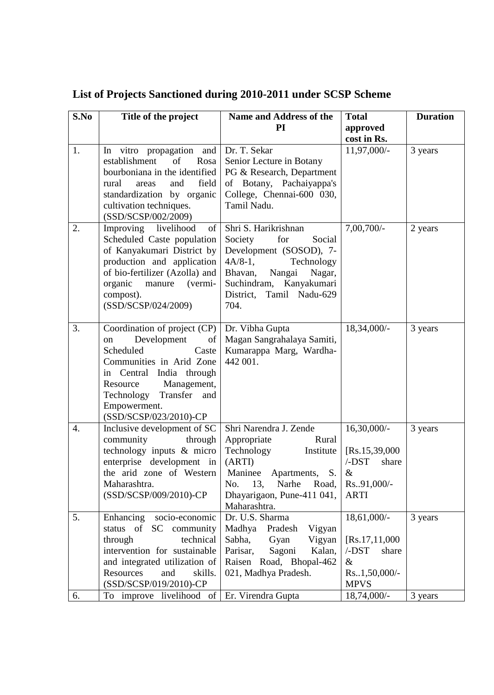| S.No | Title of the project                                  | Name and Address of the                                   | <b>Total</b>                  | <b>Duration</b> |
|------|-------------------------------------------------------|-----------------------------------------------------------|-------------------------------|-----------------|
|      |                                                       | <b>PI</b>                                                 | approved                      |                 |
| 1.   | In vitro propagation and                              | Dr. T. Sekar                                              | cost in Rs.<br>11,97,000/-    | 3 years         |
|      | establishment<br>of<br>Rosa                           | Senior Lecture in Botany                                  |                               |                 |
|      | bourboniana in the identified                         | PG & Research, Department                                 |                               |                 |
|      | field<br>rural<br>and<br>areas                        | of Botany, Pachaiyappa's                                  |                               |                 |
|      | standardization by organic                            | College, Chennai-600 030,                                 |                               |                 |
|      | cultivation techniques.                               | Tamil Nadu.                                               |                               |                 |
| 2.   | (SSD/SCSP/002/2009)<br>Improving<br>livelihood<br>of  | Shri S. Harikrishnan                                      | 7,00,700/-                    | 2 years         |
|      | Scheduled Caste population                            | Society<br>for<br>Social                                  |                               |                 |
|      | of Kanyakumari District by                            | Development (SOSOD), 7-                                   |                               |                 |
|      | production and application                            | $4A/8-1$ ,<br>Technology                                  |                               |                 |
|      | of bio-fertilizer (Azolla) and                        | Bhavan,<br>Nangai<br>Nagar,                               |                               |                 |
|      | organic<br>manure (vermi-                             | Suchindram,<br>Kanyakumari<br>District,<br>Tamil Nadu-629 |                               |                 |
|      | compost).<br>(SSD/SCSP/024/2009)                      | 704.                                                      |                               |                 |
|      |                                                       |                                                           |                               |                 |
| 3.   | Coordination of project $(CP)$                        | Dr. Vibha Gupta                                           | 18,34,000/-                   | 3 years         |
|      | Development<br>of<br>on                               | Magan Sangrahalaya Samiti,                                |                               |                 |
|      | Scheduled<br>Caste                                    | Kumarappa Marg, Wardha-                                   |                               |                 |
|      | Communities in Arid Zone<br>in Central India through  | 442 001.                                                  |                               |                 |
|      | Management,<br>Resource                               |                                                           |                               |                 |
|      | Transfer<br>Technology<br>and                         |                                                           |                               |                 |
|      | Empowerment.                                          |                                                           |                               |                 |
|      | (SSD/SCSP/023/2010)-CP                                |                                                           |                               |                 |
| 4.   | Inclusive development of SC<br>community<br>through   | Shri Narendra J. Zende<br>Appropriate<br>Rural            | $16,30,000/$ -                | 3 years         |
|      | technology inputs & micro                             | Technology<br>Institute                                   | [Rs.15, 39, 000]              |                 |
|      | enterprise development in                             | (ARTI)                                                    | $/$ - $DST$<br>share          |                 |
|      | the arid zone of Western                              | Maninee<br>Apartments,<br>S.                              | $\&$                          |                 |
|      | Maharashtra.                                          | Narhe<br>No.<br>13,<br>Road,                              | Rs91,000/-                    |                 |
|      | (SSD/SCSP/009/2010)-CP                                | Dhayarigaon, Pune-411 041,                                | <b>ARTI</b>                   |                 |
| 5.   | Enhancing<br>socio-economic                           | Maharashtra.<br>Dr. U.S. Sharma                           | 18,61,000/-                   | 3 years         |
|      | status of<br>SC community                             | Vigyan<br>Madhya<br>Pradesh                               |                               |                 |
|      | through<br>technical                                  | Sabha,<br>Gyan<br>Vigyan                                  | [Rs.17, 11, 000]              |                 |
|      | intervention for sustainable                          | Sagoni<br>Parisar,<br>Kalan,                              | $/$ - $DST$<br>share          |                 |
|      | and integrated utilization of                         | Raisen Road, Bhopal-462                                   | $\&$                          |                 |
|      | Resources<br>skills.<br>and<br>(SSD/SCSP/019/2010)-CP | 021, Madhya Pradesh.                                      | $Rs1,50,000/-$<br><b>MPVS</b> |                 |
| 6.   | To improve livelihood of                              | Er. Virendra Gupta                                        | 18,74,000/-                   | 3 years         |

## **List of Projects Sanctioned during 2010-2011 under SCSP Scheme**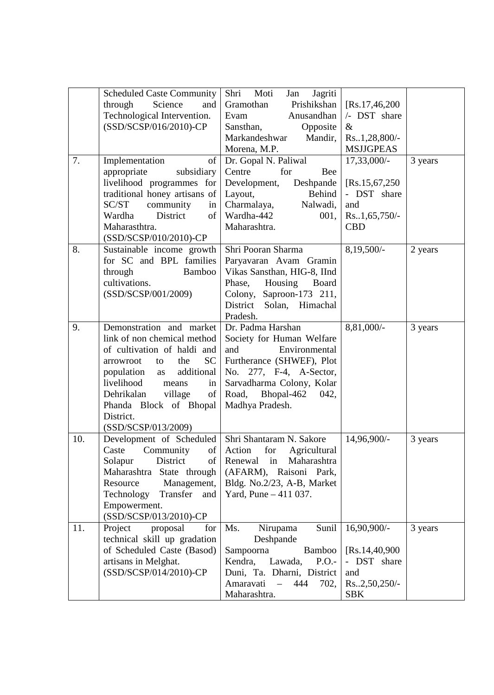| 7.  | <b>Scheduled Caste Community</b><br>Science<br>through<br>and<br>Technological Intervention.<br>(SSD/SCSP/016/2010)-CP<br>Implementation<br>of<br>appropriate<br>subsidiary<br>livelihood programmes for                                                                                        | Moti<br>Shri<br>Jan<br>Jagriti<br>Gramothan<br>Prishikshan<br>Evam<br>Anusandhan<br>Sansthan,<br>Opposite<br>Markandeshwar<br>Mandir,<br>Morena, M.P.<br>Dr. Gopal N. Paliwal<br>Centre<br>for<br>Bee<br>Development,<br>Deshpande<br>Behind | [Rs.17, 46, 200]<br>/- DST share<br>$\&$<br>Rs.1,28,800/-<br><b>MSJJGPEAS</b><br>$17,33,000/-$<br>[Rs.15,67,250]<br>- DST share | 3 years |
|-----|-------------------------------------------------------------------------------------------------------------------------------------------------------------------------------------------------------------------------------------------------------------------------------------------------|----------------------------------------------------------------------------------------------------------------------------------------------------------------------------------------------------------------------------------------------|---------------------------------------------------------------------------------------------------------------------------------|---------|
|     | traditional honey artisans of<br>SC/ST<br>community<br>in<br>Wardha<br>District<br>of<br>Maharasthtra.<br>(SSD/SCSP/010/2010)-CP                                                                                                                                                                | Layout,<br>Charmalaya,<br>Nalwadi,<br>Wardha-442<br>001,<br>Maharashtra.                                                                                                                                                                     | and<br>$Rs1,65,750/-$<br><b>CBD</b>                                                                                             |         |
| 8.  | Sustainable income growth<br>for SC and BPL families<br>through<br>Bamboo<br>cultivations.<br>(SSD/SCSP/001/2009)                                                                                                                                                                               | Shri Pooran Sharma<br>Paryavaran Avam Gramin<br>Vikas Sansthan, HIG-8, IInd<br>Phase,<br>Housing<br>Board<br>Colony, Saproon-173 211,<br>District<br>Solan, Himachal<br>Pradesh.                                                             | 8,19,500/-                                                                                                                      | 2 years |
| 9.  | Demonstration and market<br>link of non chemical method<br>of cultivation of haldi and<br>SC <sub>1</sub><br>the<br>arrowroot<br>to<br>additional<br>population<br>as<br>livelihood<br>means<br>in<br>Dehrikalan<br>village<br>of<br>Phanda Block of Bhopal<br>District.<br>(SSD/SCSP/013/2009) | Dr. Padma Harshan<br>Society for Human Welfare<br>Environmental<br>and<br>Furtherance (SHWEF), Plot<br>No. 277, F-4, A-Sector,<br>Sarvadharma Colony, Kolar<br>Road,<br>Bhopal-462<br>042,<br>Madhya Pradesh.                                | 8,81,000/-                                                                                                                      | 3 years |
| 10. | Development of Scheduled<br>Caste<br>Community<br>of  <br>District<br>Solapur<br>of<br>Maharashtra<br>State through<br>Management,<br>Resource<br>Technology<br>Transfer<br>and<br>Empowerment.<br>(SSD/SCSP/013/2010)-CP                                                                       | Shri Shantaram N. Sakore<br>Action<br>for<br>Agricultural<br>Maharashtra<br>Renewal<br>in<br>(AFARM), Raisoni Park,<br>Bldg. No.2/23, A-B, Market<br>Yard, Pune $-411$ 037.                                                                  | 14,96,900/-                                                                                                                     | 3 years |
| 11. | Project<br>proposal<br>for<br>technical skill up gradation<br>of Scheduled Caste (Basod)<br>artisans in Melghat.<br>(SSD/SCSP/014/2010)-CP                                                                                                                                                      | Sunil<br>Nirupama<br>Ms.<br>Deshpande<br>Sampoorna<br>Bamboo<br>Kendra,<br>P.O.<br>Lawada,<br>Duni, Ta. Dharni, District<br>Amaravati<br>444<br>$\equiv$<br>702,<br>Maharashtra.                                                             | 16,90,900/-<br>[Rs.14, 40, 900]<br>- DST share<br>and<br>$Rs.2,50,250/-$<br><b>SBK</b>                                          | 3 years |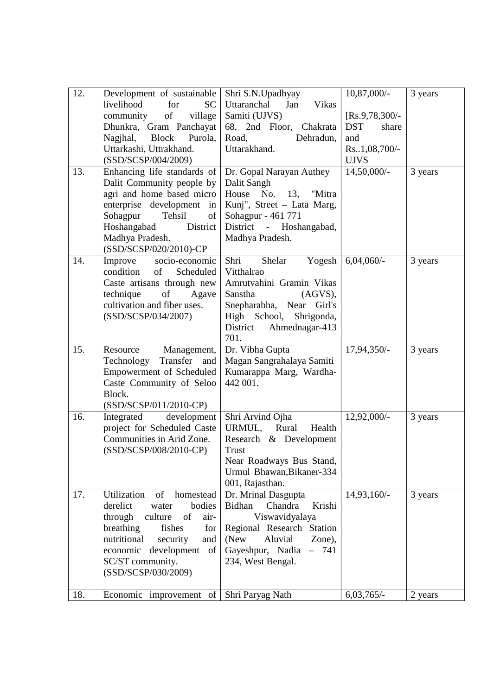| 12. | Development of sustainable                         | Shri S.N.Upadhyay                                   | $10,87,000/$ -               | 3 years |
|-----|----------------------------------------------------|-----------------------------------------------------|------------------------------|---------|
|     | livelihood<br>for<br><b>SC</b>                     | Uttaranchal<br>Jan<br><b>Vikas</b>                  |                              |         |
|     | of<br>community<br>village                         | Samiti (UJVS)                                       | $[Rs.9, 78, 300]$ -          |         |
|     | Dhunkra, Gram Panchayat                            | 68, 2nd Floor, Chakrata                             | <b>DST</b><br>share          |         |
|     | <b>Block</b><br>Nagjhal,<br>Purola,                | Road,<br>Dehradun,                                  | and                          |         |
|     | Uttarkashi, Uttrakhand.                            | Uttarakhand.                                        | Rs.1,08,700/-<br><b>UJVS</b> |         |
| 13. | (SSD/SCSP/004/2009)<br>Enhancing life standards of | Dr. Gopal Narayan Authey                            | 14,50,000/-                  | 3 years |
|     | Dalit Community people by                          | Dalit Sangh                                         |                              |         |
|     | agri and home based micro                          | House No.<br>13, "Mitra                             |                              |         |
|     | enterprise development<br>in                       | Kunj", Street - Lata Marg,                          |                              |         |
|     | Sohagpur<br>Tehsil<br>of                           | Sohagpur - 461 771                                  |                              |         |
|     | Hoshangabad<br>District                            | District<br>- Hoshangabad,                          |                              |         |
|     | Madhya Pradesh.                                    | Madhya Pradesh.                                     |                              |         |
|     | (SSD/SCSP/020/2010)-CP                             |                                                     |                              |         |
| 14. | Improve<br>socio-economic                          | Shri<br>Shelar<br>Yogesh                            | $6,04,060/-$                 | 3 years |
|     | condition<br>of<br>Scheduled                       | Vitthalrao                                          |                              |         |
|     | Caste artisans through new                         | Amrutvahini Gramin Vikas                            |                              |         |
|     | technique<br>of<br>Agave                           | Sanstha<br>$(AGVS)$ ,                               |                              |         |
|     | cultivation and fiber uses.                        | Snepharabha, Near Girl's                            |                              |         |
|     | (SSD/SCSP/034/2007)                                | High School,<br>Shrigonda,                          |                              |         |
|     |                                                    | District<br>Ahmednagar-413<br>701.                  |                              |         |
| 15. | Resource<br>Management,                            | Dr. Vibha Gupta                                     | 17,94,350/-                  | 3 years |
|     | Transfer<br>Technology<br>and                      | Magan Sangrahalaya Samiti                           |                              |         |
|     | Empowerment of Scheduled                           | Kumarappa Marg, Wardha-                             |                              |         |
|     | Caste Community of Seloo                           | 442 001.                                            |                              |         |
|     | Block.                                             |                                                     |                              |         |
|     | (SSD/SCSP/011/2010-CP)                             |                                                     |                              |         |
| 16. | Integrated<br>development                          | Shri Arvind Ojha                                    | 12,92,000/-                  | 3 years |
|     | project for Scheduled Caste                        | URMUL,<br>Rural<br>Health                           |                              |         |
|     | Communities in Arid Zone.                          | Research & Development                              |                              |         |
|     | (SSD/SCSP/008/2010-CP)                             | <b>Trust</b>                                        |                              |         |
|     |                                                    | Near Roadways Bus Stand,                            |                              |         |
|     |                                                    | Urmul Bhawan, Bikaner-334                           |                              |         |
| 17. | of<br>Utilization<br>homestead                     | 001, Rajasthan.                                     | 14,93,160/-                  |         |
|     | derelict<br>bodies<br>water                        | Dr. Mrinal Dasgupta<br>Chandra<br>Bidhan<br>Krishi  |                              | 3 years |
|     | through<br>of<br>culture<br>air-                   | Viswavidyalaya                                      |                              |         |
|     | breathing<br>fishes<br>for                         | Regional Research Station                           |                              |         |
|     | nutritional<br>security<br>and                     | (New<br>Aluvial<br>Zone),                           |                              |         |
|     | development<br>of  <br>economic                    | Gayeshpur, Nadia<br>741<br>$\overline{\phantom{0}}$ |                              |         |
|     | SC/ST community.                                   | 234, West Bengal.                                   |                              |         |
|     | (SSD/SCSP/030/2009)                                |                                                     |                              |         |
|     |                                                    |                                                     |                              |         |
| 18. | Economic improvement of                            | Shri Paryag Nath                                    | $6,03,765/-$                 | 2 years |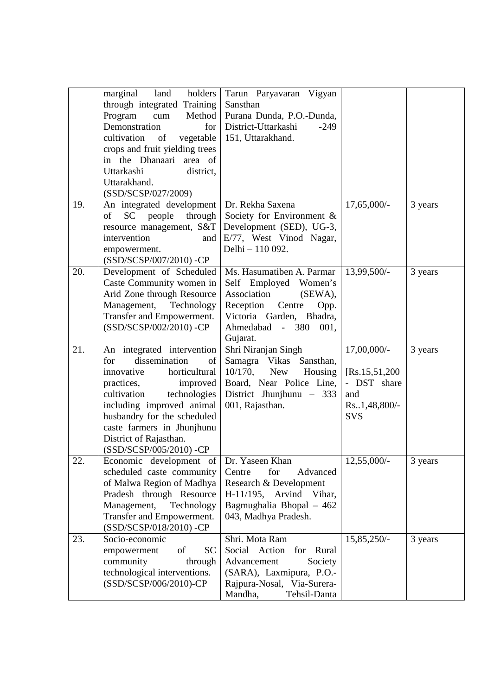|     | marginal<br>holders<br>land<br>through integrated Training<br>Program<br>Method<br>cum<br>Demonstration<br>for<br>cultivation<br>of<br>vegetable<br>crops and fruit yielding trees<br>in the Dhanaari area of<br>Uttarkashi<br>district,<br>Uttarakhand.<br>(SSD/SCSP/027/2009)                 | Tarun Paryavaran Vigyan<br>Sansthan<br>Purana Dunda, P.O.-Dunda,<br>District-Uttarkashi<br>$-249$<br>151, Uttarakhand.                                                         |                                                                                      |         |
|-----|-------------------------------------------------------------------------------------------------------------------------------------------------------------------------------------------------------------------------------------------------------------------------------------------------|--------------------------------------------------------------------------------------------------------------------------------------------------------------------------------|--------------------------------------------------------------------------------------|---------|
| 19. | An integrated development<br>people<br>through<br>of<br><b>SC</b><br>resource management, S&T<br>intervention<br>and<br>empowerment.<br>(SSD/SCSP/007/2010) -CP                                                                                                                                 | Dr. Rekha Saxena<br>Society for Environment &<br>Development (SED), UG-3,<br>E/77, West Vinod Nagar,<br>Delhi - 110 092.                                                       | 17,65,000/-                                                                          | 3 years |
| 20. | Development of Scheduled<br>Caste Community women in<br>Arid Zone through Resource<br>Management,<br>Technology<br>Transfer and Empowerment.<br>(SSD/SCSP/002/2010) -CP                                                                                                                         | Ms. Hasumatiben A. Parmar<br>Self Employed Women's<br>Association<br>(SEWA),<br>Reception<br>Centre<br>Opp.<br>Victoria Garden, Bhadra,<br>Ahmedabad - 380<br>001,<br>Gujarat. | 13,99,500/-                                                                          | 3 years |
| 21. | An integrated intervention<br>dissemination<br>of<br>for<br>innovative<br>horticultural<br>improved<br>practices,<br>technologies<br>cultivation<br>including improved animal<br>husbandry for the scheduled<br>caste farmers in Jhunjhunu<br>District of Rajasthan.<br>(SSD/SCSP/005/2010) -CP | Shri Niranjan Singh<br>Samagra Vikas Sansthan,<br>$10/170$ ,<br><b>New</b><br>Housing<br>Board, Near Police Line,<br>District Jhunjhunu $-333$<br>001, Rajasthan.              | 17,00,000/-<br>[Rs.15, 51, 200]<br>- DST share<br>and<br>Rs.1,48,800/-<br><b>SVS</b> | 3 years |
| 22. | Economic development of<br>scheduled caste community<br>of Malwa Region of Madhya<br>Pradesh through Resource<br>Management,<br>Technology<br>Transfer and Empowerment.<br>(SSD/SCSP/018/2010) - CP                                                                                             | Dr. Yaseen Khan<br>Centre<br>for<br>Advanced<br>Research & Development<br>$H-11/195$ , Arvind Vihar,<br>Bagmughalia Bhopal - 462<br>043, Madhya Pradesh.                       | $12,55,000/-$                                                                        | 3 years |
| 23. | Socio-economic<br>of<br><b>SC</b><br>empowerment<br>community<br>through<br>technological interventions.<br>(SSD/SCSP/006/2010)-CP                                                                                                                                                              | Shri. Mota Ram<br>Social Action<br>Rural<br>for<br>Advancement<br>Society<br>(SARA), Laxmipura, P.O.-<br>Rajpura-Nosal, Via-Surera-<br>Mandha,<br>Tehsil-Danta                 | 15,85,250/-                                                                          | 3 years |